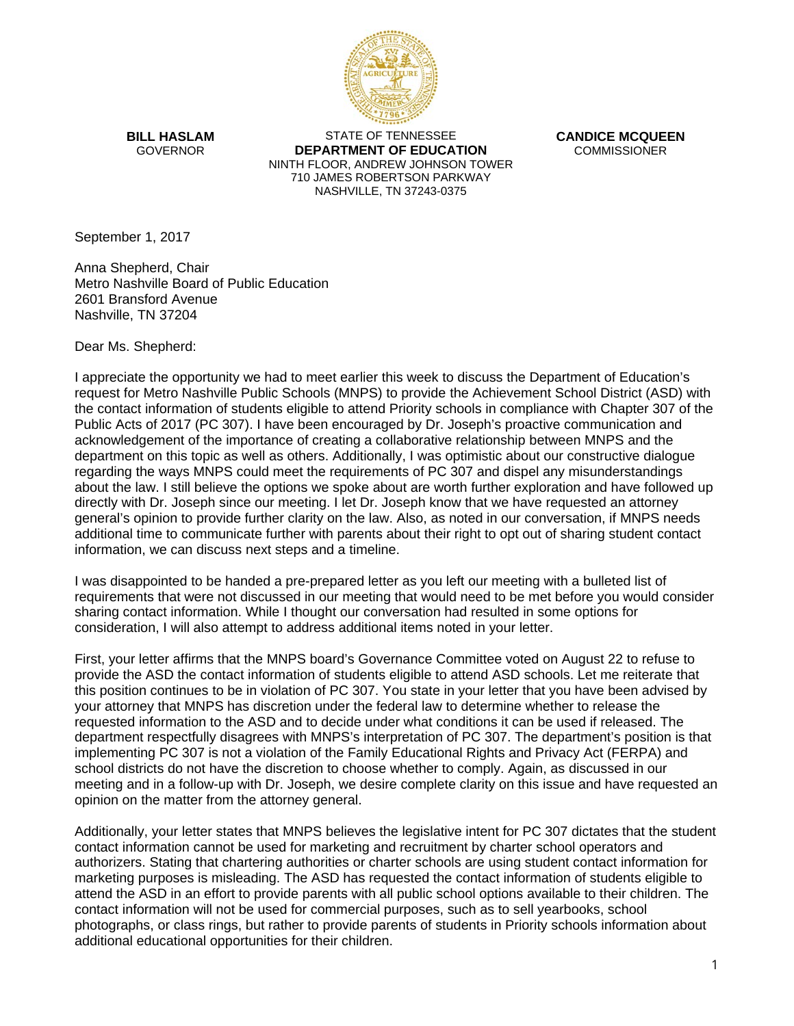

**BILL HASLAM** GOVERNOR

STATE OF TENNESSEE **DEPARTMENT OF EDUCATION** NINTH FLOOR, ANDREW JOHNSON TOWER 710 JAMES ROBERTSON PARKWAY NASHVILLE, TN 37243-0375

**CANDICE MCQUEEN COMMISSIONER** 

September 1, 2017

Anna Shepherd, Chair Metro Nashville Board of Public Education 2601 Bransford Avenue Nashville, TN 37204

Dear Ms. Shepherd:

I appreciate the opportunity we had to meet earlier this week to discuss the Department of Education's request for Metro Nashville Public Schools (MNPS) to provide the Achievement School District (ASD) with the contact information of students eligible to attend Priority schools in compliance with Chapter 307 of the Public Acts of 2017 (PC 307). I have been encouraged by Dr. Joseph's proactive communication and acknowledgement of the importance of creating a collaborative relationship between MNPS and the department on this topic as well as others. Additionally, I was optimistic about our constructive dialogue regarding the ways MNPS could meet the requirements of PC 307 and dispel any misunderstandings about the law. I still believe the options we spoke about are worth further exploration and have followed up directly with Dr. Joseph since our meeting. I let Dr. Joseph know that we have requested an attorney general's opinion to provide further clarity on the law. Also, as noted in our conversation, if MNPS needs additional time to communicate further with parents about their right to opt out of sharing student contact information, we can discuss next steps and a timeline.

I was disappointed to be handed a pre-prepared letter as you left our meeting with a bulleted list of requirements that were not discussed in our meeting that would need to be met before you would consider sharing contact information. While I thought our conversation had resulted in some options for consideration, I will also attempt to address additional items noted in your letter.

First, your letter affirms that the MNPS board's Governance Committee voted on August 22 to refuse to provide the ASD the contact information of students eligible to attend ASD schools. Let me reiterate that this position continues to be in violation of PC 307. You state in your letter that you have been advised by your attorney that MNPS has discretion under the federal law to determine whether to release the requested information to the ASD and to decide under what conditions it can be used if released. The department respectfully disagrees with MNPS's interpretation of PC 307. The department's position is that implementing PC 307 is not a violation of the Family Educational Rights and Privacy Act (FERPA) and school districts do not have the discretion to choose whether to comply. Again, as discussed in our meeting and in a follow-up with Dr. Joseph, we desire complete clarity on this issue and have requested an opinion on the matter from the attorney general.

Additionally, your letter states that MNPS believes the legislative intent for PC 307 dictates that the student contact information cannot be used for marketing and recruitment by charter school operators and authorizers. Stating that chartering authorities or charter schools are using student contact information for marketing purposes is misleading. The ASD has requested the contact information of students eligible to attend the ASD in an effort to provide parents with all public school options available to their children. The contact information will not be used for commercial purposes, such as to sell yearbooks, school photographs, or class rings, but rather to provide parents of students in Priority schools information about additional educational opportunities for their children.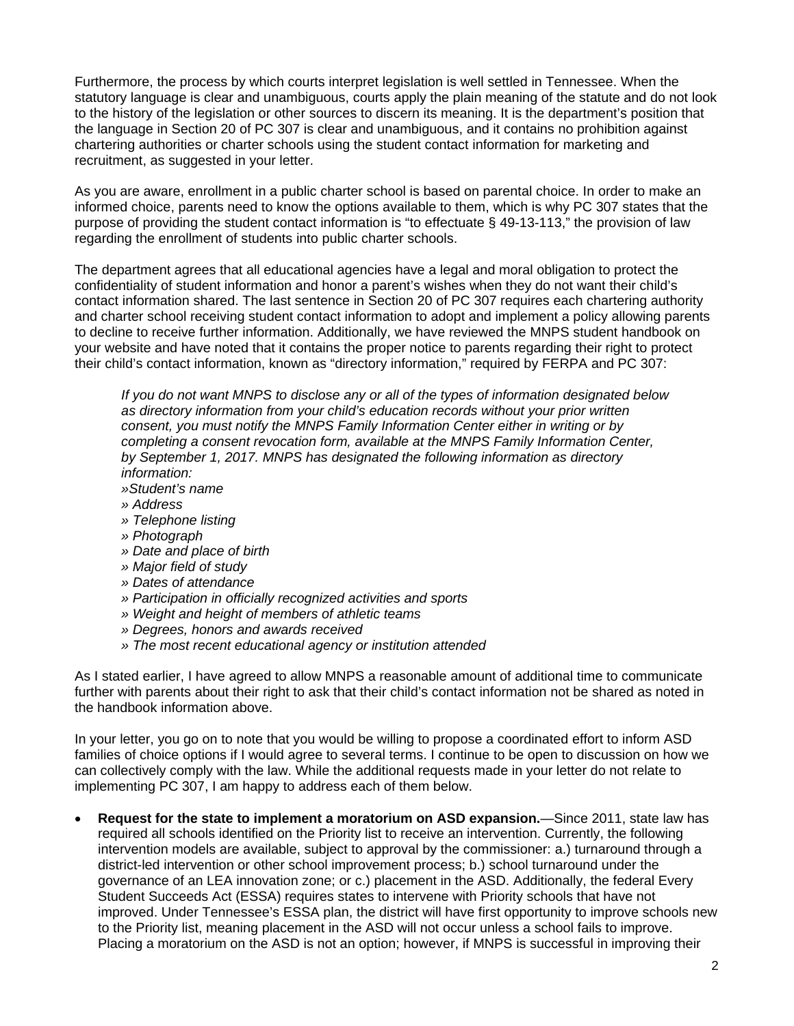Furthermore, the process by which courts interpret legislation is well settled in Tennessee. When the statutory language is clear and unambiguous, courts apply the plain meaning of the statute and do not look to the history of the legislation or other sources to discern its meaning. It is the department's position that the language in Section 20 of PC 307 is clear and unambiguous, and it contains no prohibition against chartering authorities or charter schools using the student contact information for marketing and recruitment, as suggested in your letter.

As you are aware, enrollment in a public charter school is based on parental choice. In order to make an informed choice, parents need to know the options available to them, which is why PC 307 states that the purpose of providing the student contact information is "to effectuate § 49-13-113," the provision of law regarding the enrollment of students into public charter schools.

The department agrees that all educational agencies have a legal and moral obligation to protect the confidentiality of student information and honor a parent's wishes when they do not want their child's contact information shared. The last sentence in Section 20 of PC 307 requires each chartering authority and charter school receiving student contact information to adopt and implement a policy allowing parents to decline to receive further information. Additionally, we have reviewed the MNPS student handbook on your website and have noted that it contains the proper notice to parents regarding their right to protect their child's contact information, known as "directory information," required by FERPA and PC 307:

*If you do not want MNPS to disclose any or all of the types of information designated below as directory information from your child's education records without your prior written consent, you must notify the MNPS Family Information Center either in writing or by completing a consent revocation form, available at the MNPS Family Information Center, by September 1, 2017. MNPS has designated the following information as directory information:*

*»Student's name* 

- *» Address*
- *» Telephone listing*
- *» Photograph*
- *» Date and place of birth*
- *» Major field of study*
- *» Dates of attendance*
- *» Participation in officially recognized activities and sports*
- *» Weight and height of members of athletic teams*
- *» Degrees, honors and awards received*
- *» The most recent educational agency or institution attended*

As I stated earlier, I have agreed to allow MNPS a reasonable amount of additional time to communicate further with parents about their right to ask that their child's contact information not be shared as noted in the handbook information above.

In your letter, you go on to note that you would be willing to propose a coordinated effort to inform ASD families of choice options if I would agree to several terms. I continue to be open to discussion on how we can collectively comply with the law. While the additional requests made in your letter do not relate to implementing PC 307, I am happy to address each of them below.

• **Request for the state to implement a moratorium on ASD expansion.**—Since 2011, state law has required all schools identified on the Priority list to receive an intervention. Currently, the following intervention models are available, subject to approval by the commissioner: a.) turnaround through a district-led intervention or other school improvement process; b.) school turnaround under the governance of an LEA innovation zone; or c.) placement in the ASD. Additionally, the federal Every Student Succeeds Act (ESSA) requires states to intervene with Priority schools that have not improved. Under Tennessee's ESSA plan, the district will have first opportunity to improve schools new to the Priority list, meaning placement in the ASD will not occur unless a school fails to improve. Placing a moratorium on the ASD is not an option; however, if MNPS is successful in improving their